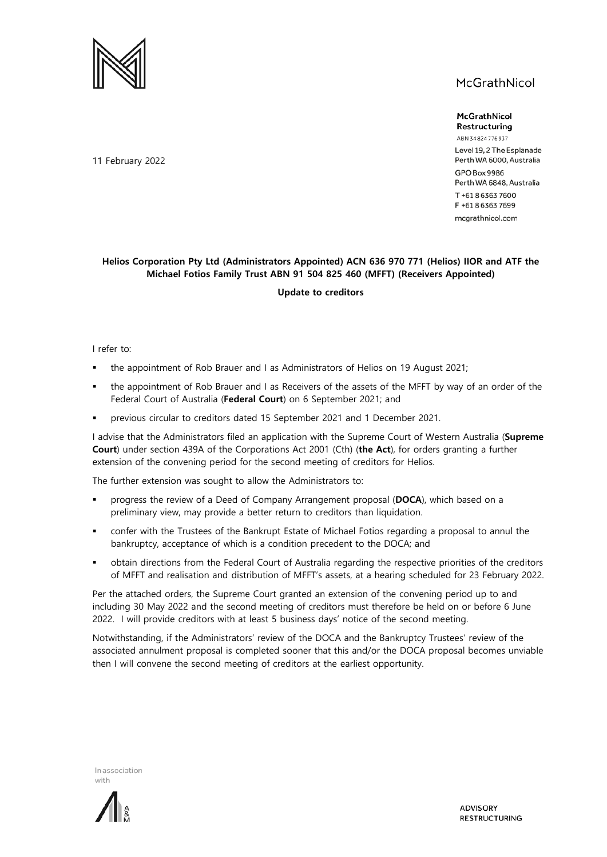

## McGrathNicol

McGrathNicol Restructuring

ABN 34824776937 Level 19, 2 The Esplanade Perth WA 6000, Australia GPO Box 9986 Perth WA 6848, Australia T+61863637600 F +61863637699 mcgrathnicol.com

## **Helios Corporation Pty Ltd (Administrators Appointed) ACN 636 970 771 (Helios) IIOR and ATF the Michael Fotios Family Trust ABN 91 504 825 460 (MFFT) (Receivers Appointed)**

## **Update to creditors**

I refer to:

- the appointment of Rob Brauer and I as Administrators of Helios on 19 August 2021;
- the appointment of Rob Brauer and I as Receivers of the assets of the MFFT by way of an order of the Federal Court of Australia (**Federal Court**) on 6 September 2021; and
- previous circular to creditors dated 15 September 2021 and 1 December 2021.

I advise that the Administrators filed an application with the Supreme Court of Western Australia (**Supreme Court**) under section 439A of the Corporations Act 2001 (Cth) (**the Act**), for orders granting a further extension of the convening period for the second meeting of creditors for Helios.

The further extension was sought to allow the Administrators to:

- progress the review of a Deed of Company Arrangement proposal (**DOCA**), which based on a preliminary view, may provide a better return to creditors than liquidation.
- confer with the Trustees of the Bankrupt Estate of Michael Fotios regarding a proposal to annul the bankruptcy, acceptance of which is a condition precedent to the DOCA; and
- obtain directions from the Federal Court of Australia regarding the respective priorities of the creditors of MFFT and realisation and distribution of MFFT's assets, at a hearing scheduled for 23 February 2022.

Per the attached orders, the Supreme Court granted an extension of the convening period up to and including 30 May 2022 and the second meeting of creditors must therefore be held on or before 6 June 2022. I will provide creditors with at least 5 business days' notice of the second meeting.

Notwithstanding, if the Administrators' review of the DOCA and the Bankruptcy Trustees' review of the associated annulment proposal is completed sooner that this and/or the DOCA proposal becomes unviable then I will convene the second meeting of creditors at the earliest opportunity.

In association with



11 February 2022